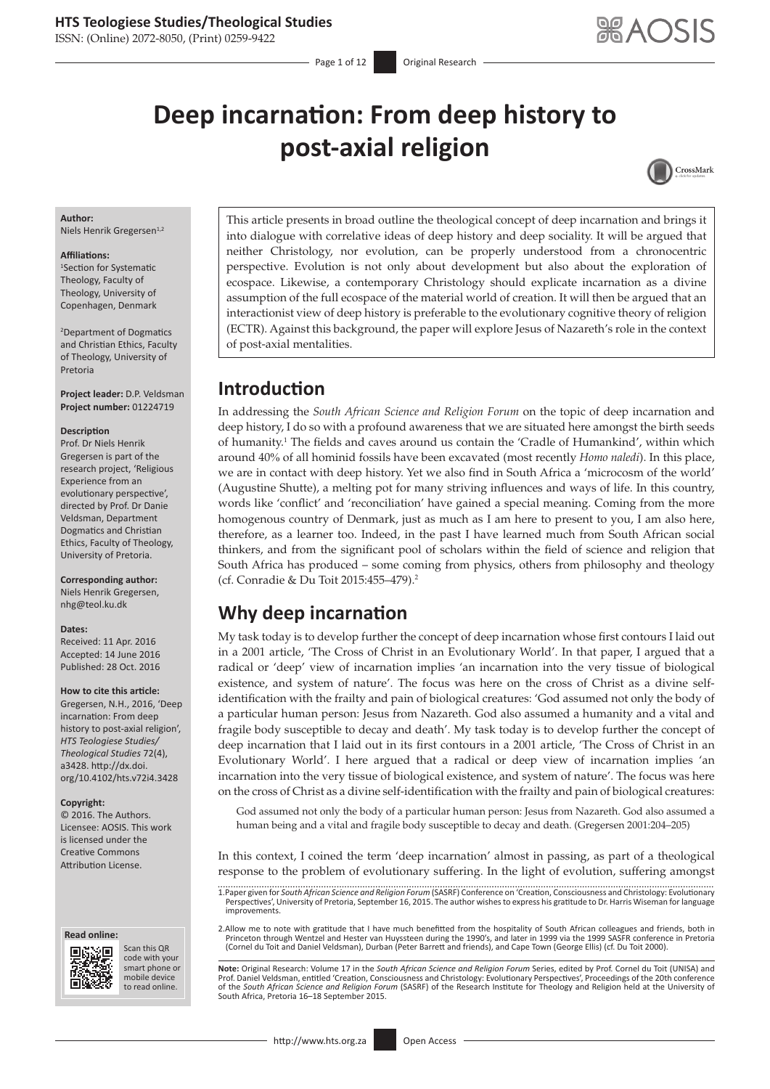ISSN: (Online) 2072-8050, (Print) 0259-9422

- Page 1 of 12 **Original Research** 

# **Deep incarnation: From deep history to post-axial religion**



#### **Author:**

Niels Henrik Gregersen<sup>1,2</sup>

#### **Affiliations:**

1 Section for Systematic Theology, Faculty of Theology, University of Copenhagen, Denmark

2 Department of Dogmatics and Christian Ethics, Faculty of Theology, University of Pretoria

**Project leader:** D.P. Veldsman **Project number:** 01224719

#### **Description**

Prof. Dr Niels Henrik Gregersen is part of the research project, 'Religious Experience from an evolutionary perspective', directed by Prof. Dr Danie Veldsman, Department Dogmatics and Christian Ethics, Faculty of Theology, University of Pretoria.

#### **Corresponding author:** Niels Henrik Gregersen, [nhg@teol.ku.dk](mailto:nhg@teol.ku.dk)

#### **Dates:**

Received: 11 Apr. 2016 Accepted: 14 June 2016 Published: 28 Oct. 2016

#### **How to cite this article:**

Gregersen, N.H., 2016, 'Deep incarnation: From deep history to post-axial religion', *HTS Teologiese Studies/ Theological Studies* 72(4), a3428. [http://dx.doi.](http://dx.doi.org/10.4102/hts.v72i4.3428) [org/10.4102/hts.v72i4.3428](http://dx.doi.org/10.4102/hts.v72i4.3428)

#### **Copyright:**

© 2016. The Authors. Licensee: AOSIS. This work is licensed under the Creative Commons Attribution License.





Scan this QR code with your Scan this QR<br>code with your<br>smart phone or<br>mobile device mobile device to read online. to read online.

This article presents in broad outline the theological concept of deep incarnation and brings it into dialogue with correlative ideas of deep history and deep sociality. It will be argued that neither Christology, nor evolution, can be properly understood from a chronocentric perspective. Evolution is not only about development but also about the exploration of ecospace. Likewise, a contemporary Christology should explicate incarnation as a divine assumption of the full ecospace of the material world of creation. It will then be argued that an interactionist view of deep history is preferable to the evolutionary cognitive theory of religion (ECTR). Against this background, the paper will explore Jesus of Nazareth's role in the context of post-axial mentalities.

### **Introduction**

In addressing the *South African Science and Religion Forum* on the topic of deep incarnation and deep history, I do so with a profound awareness that we are situated here amongst the birth seeds of humanity.<sup>1</sup> The fields and caves around us contain the 'Cradle of Humankind', within which around 40% of all hominid fossils have been excavated (most recently *Homo naledi*). In this place, we are in contact with deep history. Yet we also find in South Africa a 'microcosm of the world' (Augustine Shutte), a melting pot for many striving influences and ways of life. In this country, words like 'conflict' and 'reconciliation' have gained a special meaning. Coming from the more homogenous country of Denmark, just as much as I am here to present to you, I am also here, therefore, as a learner too. Indeed, in the past I have learned much from South African social thinkers, and from the significant pool of scholars within the field of science and religion that South Africa has produced – some coming from physics, others from philosophy and theology (cf. Conradie & Du Toit 2015:455–479).2

### **Why deep incarnation**

My task today is to develop further the concept of deep incarnation whose first contours I laid out in a 2001 article, 'The Cross of Christ in an Evolutionary World'. In that paper, I argued that a radical or 'deep' view of incarnation implies 'an incarnation into the very tissue of biological existence, and system of nature'. The focus was here on the cross of Christ as a divine selfidentification with the frailty and pain of biological creatures: 'God assumed not only the body of a particular human person: Jesus from Nazareth. God also assumed a humanity and a vital and fragile body susceptible to decay and death'. My task today is to develop further the concept of deep incarnation that I laid out in its first contours in a 2001 article, 'The Cross of Christ in an Evolutionary World'. I here argued that a radical or deep view of incarnation implies 'an incarnation into the very tissue of biological existence, and system of nature'. The focus was here on the cross of Christ as a divine self-identification with the frailty and pain of biological creatures:

God assumed not only the body of a particular human person: Jesus from Nazareth. God also assumed a human being and a vital and fragile body susceptible to decay and death. (Gregersen 2001:204–205)

In this context, I coined the term 'deep incarnation' almost in passing, as part of a theological response to the problem of evolutionary suffering. In the light of evolution, suffering amongst

1.Paper given for *South African Science and Religion Forum* (SASRF) Conference on 'Creation, Consciousness and Christology: Evolutionary Perspectives', University of Pretoria, September 16, 2015. The author wishes to express his gratitude to Dr. Harris Wiseman for language improvements.

2.Allow me to note with gratitude that I have much benefitted from the hospitality of South African colleagues and friends, both in Princeton through Wentzel and Hester van Huyssteen during the 1990's, and later in 1999 via the 1999 SASFR conference in Pretoria<br>(Cornel du Toit and Daniel Veldsman), Durban (Peter Barrett and friends), and Cape Town (Geo

**Note:** Original Research: Volume 17 in the *South African Science and Religion Forum* Series, edited by Prof. Cornel du Toit (UNISA) and Prof. Daniel Veldsman, entitled 'Creation, Consciousness and Christology: Evolutionary Perspectives', Proceedings of the 20th conference<br>of the South African Science and Religion Forum (SASRF) of the Research Institute for South Africa, Pretoria 16–18 September 2015.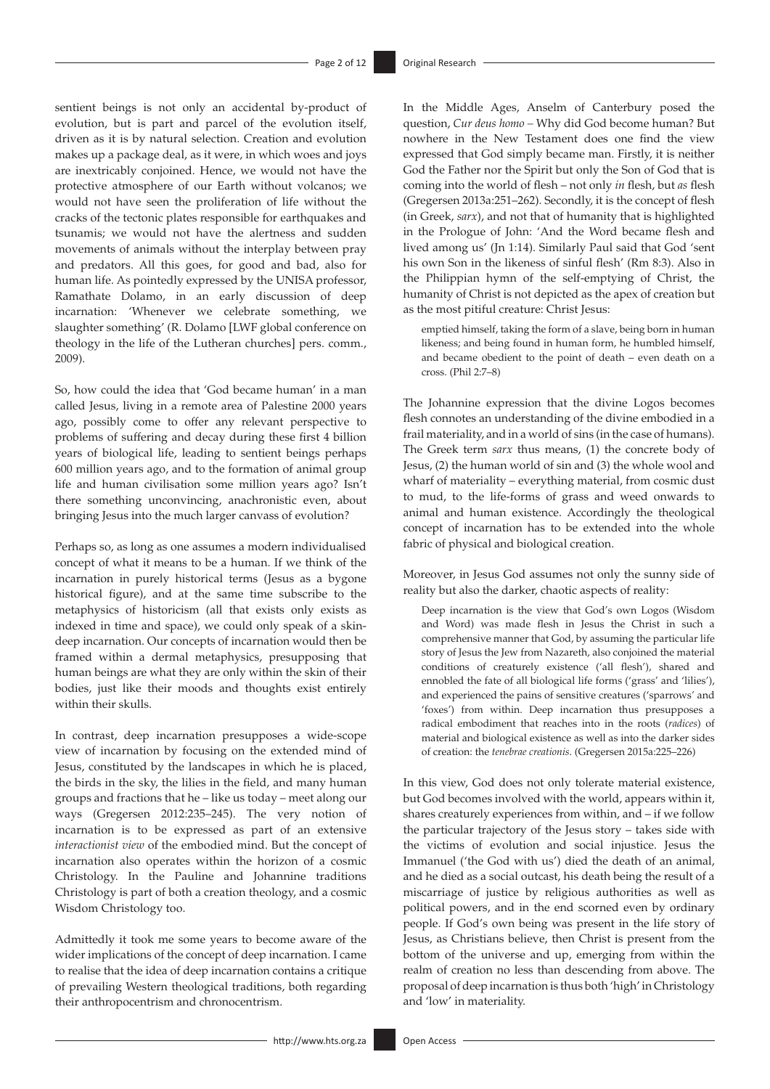sentient beings is not only an accidental by-product of evolution, but is part and parcel of the evolution itself, driven as it is by natural selection. Creation and evolution makes up a package deal, as it were, in which woes and joys are inextricably conjoined. Hence, we would not have the protective atmosphere of our Earth without volcanos; we would not have seen the proliferation of life without the cracks of the tectonic plates responsible for earthquakes and tsunamis; we would not have the alertness and sudden movements of animals without the interplay between pray and predators. All this goes, for good and bad, also for human life. As pointedly expressed by the UNISA professor, Ramathate Dolamo, in an early discussion of deep incarnation: 'Whenever we celebrate something, we slaughter something' (R. Dolamo [LWF global conference on theology in the life of the Lutheran churches] pers. comm., 2009).

So, how could the idea that 'God became human' in a man called Jesus, living in a remote area of Palestine 2000 years ago, possibly come to offer any relevant perspective to problems of suffering and decay during these first 4 billion years of biological life, leading to sentient beings perhaps 600 million years ago, and to the formation of animal group life and human civilisation some million years ago? Isn't there something unconvincing, anachronistic even, about bringing Jesus into the much larger canvass of evolution?

Perhaps so, as long as one assumes a modern individualised concept of what it means to be a human. If we think of the incarnation in purely historical terms (Jesus as a bygone historical figure), and at the same time subscribe to the metaphysics of historicism (all that exists only exists as indexed in time and space), we could only speak of a skindeep incarnation. Our concepts of incarnation would then be framed within a dermal metaphysics, presupposing that human beings are what they are only within the skin of their bodies, just like their moods and thoughts exist entirely within their skulls.

In contrast, deep incarnation presupposes a wide-scope view of incarnation by focusing on the extended mind of Jesus, constituted by the landscapes in which he is placed, the birds in the sky, the lilies in the field, and many human groups and fractions that he – like us today – meet along our ways (Gregersen 2012:235–245). The very notion of incarnation is to be expressed as part of an extensive *interactionist view* of the embodied mind. But the concept of incarnation also operates within the horizon of a cosmic Christology. In the Pauline and Johannine traditions Christology is part of both a creation theology, and a cosmic Wisdom Christology too.

Admittedly it took me some years to become aware of the wider implications of the concept of deep incarnation. I came to realise that the idea of deep incarnation contains a critique of prevailing Western theological traditions, both regarding their anthropocentrism and chronocentrism.

In the Middle Ages, Anselm of Canterbury posed the question, *Cur deus homo –* Why did God become human? But nowhere in the New Testament does one find the view expressed that God simply became man. Firstly, it is neither God the Father nor the Spirit but only the Son of God that is coming into the world of flesh – not only *in* flesh, but *as* flesh (Gregersen 2013a:251–262). Secondly, it is the concept of flesh (in Greek, *sarx*), and not that of humanity that is highlighted in the Prologue of John: 'And the Word became flesh and lived among us' (Jn 1:14). Similarly Paul said that God 'sent his own Son in the likeness of sinful flesh' (Rm 8:3). Also in the Philippian hymn of the self-emptying of Christ, the humanity of Christ is not depicted as the apex of creation but as the most pitiful creature: Christ Jesus:

emptied himself, taking the form of a slave, being born in human likeness; and being found in human form, he humbled himself, and became obedient to the point of death – even death on a cross. (Phil 2:7–8)

The Johannine expression that the divine Logos becomes flesh connotes an understanding of the divine embodied in a frail materiality, and in a world of sins (in the case of humans). The Greek term *sarx* thus means, (1) the concrete body of Jesus, (2) the human world of sin and (3) the whole wool and wharf of materiality – everything material, from cosmic dust to mud, to the life-forms of grass and weed onwards to animal and human existence. Accordingly the theological concept of incarnation has to be extended into the whole fabric of physical and biological creation.

Moreover, in Jesus God assumes not only the sunny side of reality but also the darker, chaotic aspects of reality:

Deep incarnation is the view that God's own Logos (Wisdom and Word) was made flesh in Jesus the Christ in such a comprehensive manner that God, by assuming the particular life story of Jesus the Jew from Nazareth, also conjoined the material conditions of creaturely existence ('all flesh'), shared and ennobled the fate of all biological life forms ('grass' and 'lilies'), and experienced the pains of sensitive creatures ('sparrows' and 'foxes') from within. Deep incarnation thus presupposes a radical embodiment that reaches into in the roots (*radices*) of material and biological existence as well as into the darker sides of creation: the *tenebrae creationis*. (Gregersen 2015a:225–226)

In this view, God does not only tolerate material existence, but God becomes involved with the world, appears within it, shares creaturely experiences from within, and – if we follow the particular trajectory of the Jesus story – takes side with the victims of evolution and social injustice. Jesus the Immanuel ('the God with us') died the death of an animal, and he died as a social outcast, his death being the result of a miscarriage of justice by religious authorities as well as political powers, and in the end scorned even by ordinary people. If God's own being was present in the life story of Jesus, as Christians believe, then Christ is present from the bottom of the universe and up, emerging from within the realm of creation no less than descending from above. The proposal of deep incarnation is thus both 'high' in Christology and 'low' in materiality.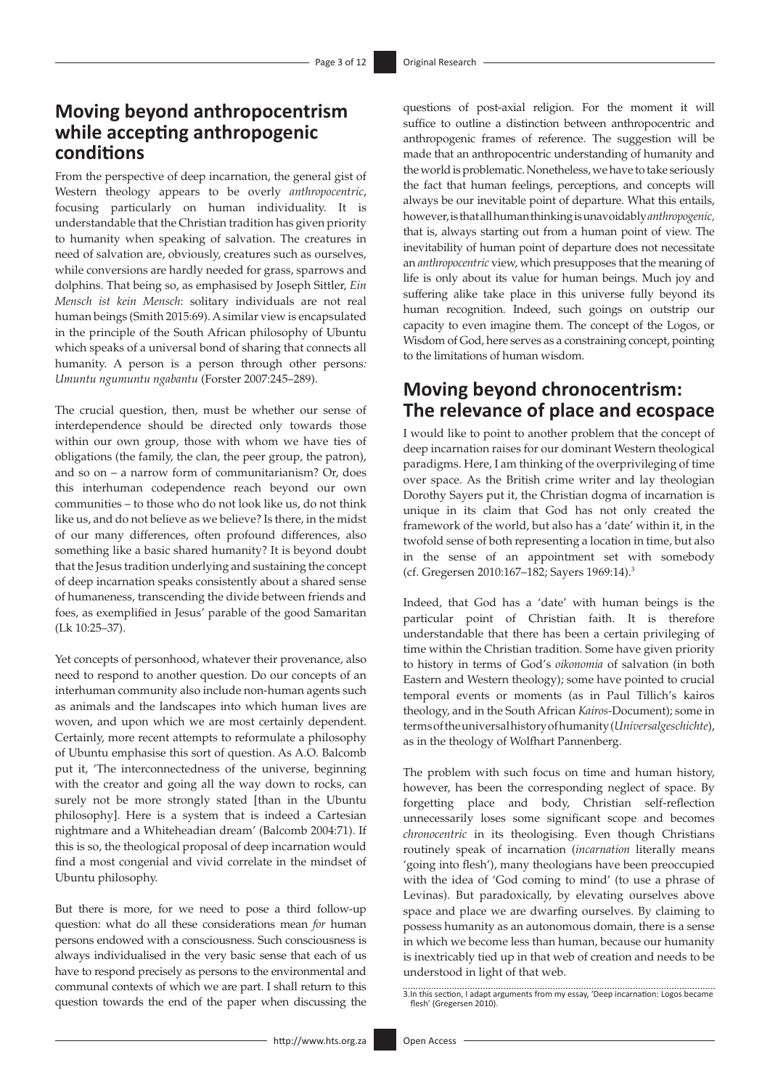### **Moving beyond anthropocentrism while accepting anthropogenic conditions**

From the perspective of deep incarnation, the general gist of Western theology appears to be overly *anthropocentric*, focusing particularly on human individuality. It is understandable that the Christian tradition has given priority to humanity when speaking of salvation. The creatures in need of salvation are, obviously, creatures such as ourselves, while conversions are hardly needed for grass, sparrows and dolphins. That being so, as emphasised by Joseph Sittler, *Ein Mensch ist kein Mensch*: solitary individuals are not real human beings (Smith 2015:69). A similar view is encapsulated in the principle of the South African philosophy of Ubuntu which speaks of a universal bond of sharing that connects all humanity. A person is a person through other persons*: Umuntu ngumuntu ngabantu* (Forster 2007:245–289).

The crucial question, then, must be whether our sense of interdependence should be directed only towards those within our own group, those with whom we have ties of obligations (the family, the clan, the peer group, the patron), and so on – a narrow form of communitarianism? Or, does this interhuman codependence reach beyond our own communities – to those who do not look like us, do not think like us, and do not believe as we believe? Is there, in the midst of our many differences, often profound differences, also something like a basic shared humanity? It is beyond doubt that the Jesus tradition underlying and sustaining the concept of deep incarnation speaks consistently about a shared sense of humaneness, transcending the divide between friends and foes, as exemplified in Jesus' parable of the good Samaritan (Lk 10:25–37).

Yet concepts of personhood, whatever their provenance, also need to respond to another question. Do our concepts of an interhuman community also include non-human agents such as animals and the landscapes into which human lives are woven, and upon which we are most certainly dependent. Certainly, more recent attempts to reformulate a philosophy of Ubuntu emphasise this sort of question. As A.O. Balcomb put it, 'The interconnectedness of the universe, beginning with the creator and going all the way down to rocks, can surely not be more strongly stated [than in the Ubuntu philosophy]. Here is a system that is indeed a Cartesian nightmare and a Whiteheadian dream' (Balcomb 2004:71). If this is so, the theological proposal of deep incarnation would find a most congenial and vivid correlate in the mindset of Ubuntu philosophy.

But there is more, for we need to pose a third follow-up question: what do all these considerations mean *for* human persons endowed with a consciousness. Such consciousness is always individualised in the very basic sense that each of us have to respond precisely as persons to the environmental and communal contexts of which we are part. I shall return to this question towards the end of the paper when discussing the

questions of post-axial religion. For the moment it will suffice to outline a distinction between anthropocentric and anthropogenic frames of reference. The suggestion will be made that an anthropocentric understanding of humanity and the world is problematic. Nonetheless, we have to take seriously the fact that human feelings, perceptions, and concepts will always be our inevitable point of departure. What this entails, however, is that all human thinking is unavoidably *anthropogenic,*  that is, always starting out from a human point of view. The inevitability of human point of departure does not necessitate an *anthropocentric* view, which presupposes that the meaning of life is only about its value for human beings. Much joy and suffering alike take place in this universe fully beyond its human recognition. Indeed, such goings on outstrip our capacity to even imagine them. The concept of the Logos, or Wisdom of God, here serves as a constraining concept, pointing to the limitations of human wisdom.

# **Moving beyond chronocentrism: The relevance of place and ecospace**

I would like to point to another problem that the concept of deep incarnation raises for our dominant Western theological paradigms. Here, I am thinking of the overprivileging of time over space. As the British crime writer and lay theologian Dorothy Sayers put it, the Christian dogma of incarnation is unique in its claim that God has not only created the framework of the world, but also has a 'date' within it, in the twofold sense of both representing a location in time, but also in the sense of an appointment set with somebody (cf. Gregersen 2010:167–182; Sayers 1969:14).3

Indeed, that God has a 'date' with human beings is the particular point of Christian faith. It is therefore understandable that there has been a certain privileging of time within the Christian tradition. Some have given priority to history in terms of God's *oikonomia* of salvation (in both Eastern and Western theology); some have pointed to crucial temporal events or moments (as in Paul Tillich's kairos theology, and in the South African *Kairos*-Document); some in terms of the universal history of humanity (*Universalgeschichte*), as in the theology of Wolfhart Pannenberg.

The problem with such focus on time and human history, however, has been the corresponding neglect of space. By forgetting place and body, Christian self-reflection unnecessarily loses some significant scope and becomes *chronocentric* in its theologising. Even though Christians routinely speak of incarnation (*incarnation* literally means 'going into flesh'), many theologians have been preoccupied with the idea of 'God coming to mind' (to use a phrase of Levinas). But paradoxically, by elevating ourselves above space and place we are dwarfing ourselves. By claiming to possess humanity as an autonomous domain, there is a sense in which we become less than human, because our humanity is inextricably tied up in that web of creation and needs to be understood in light of that web.

3.In this section, I adapt arguments from my essay, 'Deep incarnation: Logos became flesh' (Gregersen 2010).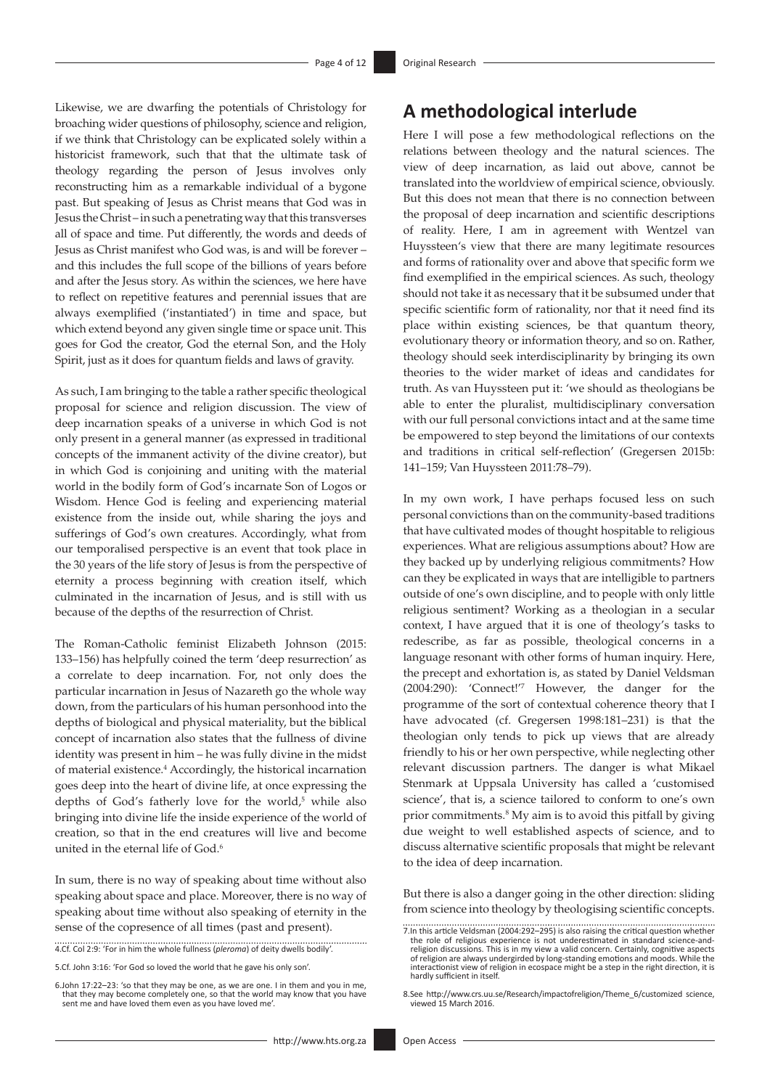Likewise, we are dwarfing the potentials of Christology for broaching wider questions of philosophy, science and religion, if we think that Christology can be explicated solely within a historicist framework, such that that the ultimate task of theology regarding the person of Jesus involves only reconstructing him as a remarkable individual of a bygone past. But speaking of Jesus as Christ means that God was in Jesus the Christ – in such a penetrating way that this transverses all of space and time. Put differently, the words and deeds of Jesus as Christ manifest who God was, is and will be forever – and this includes the full scope of the billions of years before and after the Jesus story. As within the sciences, we here have to reflect on repetitive features and perennial issues that are always exemplified ('instantiated') in time and space, but which extend beyond any given single time or space unit. This goes for God the creator, God the eternal Son, and the Holy Spirit, just as it does for quantum fields and laws of gravity.

As such, I am bringing to the table a rather specific theological proposal for science and religion discussion. The view of deep incarnation speaks of a universe in which God is not only present in a general manner (as expressed in traditional concepts of the immanent activity of the divine creator), but in which God is conjoining and uniting with the material world in the bodily form of God's incarnate Son of Logos or Wisdom. Hence God is feeling and experiencing material existence from the inside out, while sharing the joys and sufferings of God's own creatures. Accordingly, what from our temporalised perspective is an event that took place in the 30 years of the life story of Jesus is from the perspective of eternity a process beginning with creation itself, which culminated in the incarnation of Jesus, and is still with us because of the depths of the resurrection of Christ.

The Roman-Catholic feminist Elizabeth Johnson (2015: 133–156) has helpfully coined the term 'deep resurrection' as a correlate to deep incarnation. For, not only does the particular incarnation in Jesus of Nazareth go the whole way down, from the particulars of his human personhood into the depths of biological and physical materiality, but the biblical concept of incarnation also states that the fullness of divine identity was present in him – he was fully divine in the midst of material existence.<sup>4</sup> Accordingly, the historical incarnation goes deep into the heart of divine life, at once expressing the depths of God's fatherly love for the world, $5$  while also bringing into divine life the inside experience of the world of creation, so that in the end creatures will live and become united in the eternal life of God.<sup>6</sup>

In sum, there is no way of speaking about time without also speaking about space and place. Moreover, there is no way of speaking about time without also speaking of eternity in the sense of the copresence of all times (past and present).

4.Cf. Col 2:9: 'For in him the whole fullness (*pleroma*) of deity dwells bodily'.

5.Cf. John 3:16: 'For God so loved the world that he gave his only son'.

6.John 17:22–23: 'so that they may be one, as we are one. I in them and you in me, that they may become completely one, so that the world may know that you have sent me and have loved them even as you have loved me'.

# **A methodological interlude**

Here I will pose a few methodological reflections on the relations between theology and the natural sciences. The view of deep incarnation, as laid out above, cannot be translated into the worldview of empirical science, obviously. But this does not mean that there is no connection between the proposal of deep incarnation and scientific descriptions of reality. Here, I am in agreement with Wentzel van Huyssteen's view that there are many legitimate resources and forms of rationality over and above that specific form we find exemplified in the empirical sciences. As such, theology should not take it as necessary that it be subsumed under that specific scientific form of rationality, nor that it need find its place within existing sciences, be that quantum theory, evolutionary theory or information theory, and so on. Rather, theology should seek interdisciplinarity by bringing its own theories to the wider market of ideas and candidates for truth. As van Huyssteen put it: 'we should as theologians be able to enter the pluralist, multidisciplinary conversation with our full personal convictions intact and at the same time be empowered to step beyond the limitations of our contexts and traditions in critical self-reflection' (Gregersen 2015b: 141–159; Van Huyssteen 2011:78–79).

In my own work, I have perhaps focused less on such personal convictions than on the community-based traditions that have cultivated modes of thought hospitable to religious experiences. What are religious assumptions about? How are they backed up by underlying religious commitments? How can they be explicated in ways that are intelligible to partners outside of one's own discipline, and to people with only little religious sentiment? Working as a theologian in a secular context, I have argued that it is one of theology's tasks to redescribe, as far as possible, theological concerns in a language resonant with other forms of human inquiry. Here, the precept and exhortation is, as stated by Daniel Veldsman (2004:290): 'Connect!'7 However, the danger for the programme of the sort of contextual coherence theory that I have advocated (cf. Gregersen 1998:181–231) is that the theologian only tends to pick up views that are already friendly to his or her own perspective, while neglecting other relevant discussion partners. The danger is what Mikael Stenmark at Uppsala University has called a 'customised science', that is, a science tailored to conform to one's own prior commitments.<sup>8</sup> My aim is to avoid this pitfall by giving due weight to well established aspects of science, and to discuss alternative scientific proposals that might be relevant to the idea of deep incarnation.

But there is also a danger going in the other direction: sliding from science into theology by theologising scientific concepts.

<sup>7.</sup>In this article Veldsman (2004:292–295) is also raising the critical question whether the role of religious experience is not underestimated in standard science-andreligion discussions. This is in my view a valid concern. Certainly, cognitive aspects of religion are always undergirded by long-standing emotions and moods. While the interactionist view of religion in ecospace might be a step in the right direction, it is hardly sufficient in itself.

<sup>8.</sup>See [http://www.crs.uu.se/Research/impactofreligion/Theme\\_6/customized science](http://www.crs.uu.se/Research/impactofreligion/Theme_6/customized science), viewed 15 March 2016.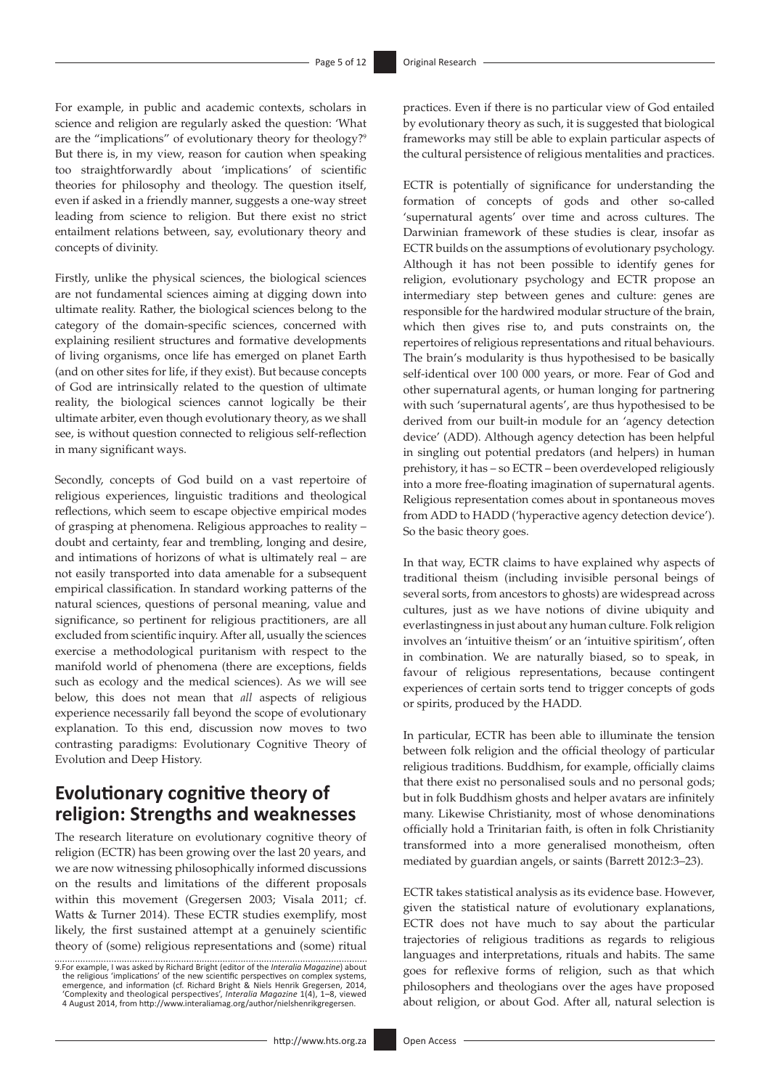For example, in public and academic contexts, scholars in science and religion are regularly asked the question: 'What are the "implications" of evolutionary theory for theology?<sup>9</sup> But there is, in my view, reason for caution when speaking too straightforwardly about 'implications' of scientific theories for philosophy and theology. The question itself, even if asked in a friendly manner, suggests a one-way street leading from science to religion. But there exist no strict entailment relations between, say, evolutionary theory and concepts of divinity.

Firstly, unlike the physical sciences, the biological sciences are not fundamental sciences aiming at digging down into ultimate reality. Rather, the biological sciences belong to the category of the domain-specific sciences, concerned with explaining resilient structures and formative developments of living organisms, once life has emerged on planet Earth (and on other sites for life, if they exist). But because concepts of God are intrinsically related to the question of ultimate reality, the biological sciences cannot logically be their ultimate arbiter, even though evolutionary theory, as we shall see, is without question connected to religious self-reflection in many significant ways.

Secondly, concepts of God build on a vast repertoire of religious experiences, linguistic traditions and theological reflections, which seem to escape objective empirical modes of grasping at phenomena. Religious approaches to reality – doubt and certainty, fear and trembling, longing and desire, and intimations of horizons of what is ultimately real – are not easily transported into data amenable for a subsequent empirical classification. In standard working patterns of the natural sciences, questions of personal meaning, value and significance, so pertinent for religious practitioners, are all excluded from scientific inquiry. After all, usually the sciences exercise a methodological puritanism with respect to the manifold world of phenomena (there are exceptions, fields such as ecology and the medical sciences). As we will see below, this does not mean that *all* aspects of religious experience necessarily fall beyond the scope of evolutionary explanation. To this end, discussion now moves to two contrasting paradigms: Evolutionary Cognitive Theory of Evolution and Deep History.

### **Evolutionary cognitive theory of religion: Strengths and weaknesses**

The research literature on evolutionary cognitive theory of religion (ECTR) has been growing over the last 20 years, and we are now witnessing philosophically informed discussions on the results and limitations of the different proposals within this movement (Gregersen 2003; Visala 2011; cf. Watts & Turner 2014). These ECTR studies exemplify, most likely, the first sustained attempt at a genuinely scientific theory of (some) religious representations and (some) ritual

practices. Even if there is no particular view of God entailed by evolutionary theory as such, it is suggested that biological frameworks may still be able to explain particular aspects of the cultural persistence of religious mentalities and practices.

ECTR is potentially of significance for understanding the formation of concepts of gods and other so-called 'supernatural agents' over time and across cultures. The Darwinian framework of these studies is clear, insofar as ECTR builds on the assumptions of evolutionary psychology. Although it has not been possible to identify genes for religion, evolutionary psychology and ECTR propose an intermediary step between genes and culture: genes are responsible for the hardwired modular structure of the brain, which then gives rise to, and puts constraints on, the repertoires of religious representations and ritual behaviours. The brain's modularity is thus hypothesised to be basically self-identical over 100 000 years, or more. Fear of God and other supernatural agents, or human longing for partnering with such 'supernatural agents', are thus hypothesised to be derived from our built-in module for an 'agency detection device' (ADD). Although agency detection has been helpful in singling out potential predators (and helpers) in human prehistory, it has – so ECTR – been overdeveloped religiously into a more free-floating imagination of supernatural agents. Religious representation comes about in spontaneous moves from ADD to HADD ('hyperactive agency detection device'). So the basic theory goes.

In that way, ECTR claims to have explained why aspects of traditional theism (including invisible personal beings of several sorts, from ancestors to ghosts) are widespread across cultures, just as we have notions of divine ubiquity and everlastingness in just about any human culture. Folk religion involves an 'intuitive theism' or an 'intuitive spiritism', often in combination. We are naturally biased, so to speak, in favour of religious representations, because contingent experiences of certain sorts tend to trigger concepts of gods or spirits, produced by the HADD.

In particular, ECTR has been able to illuminate the tension between folk religion and the official theology of particular religious traditions. Buddhism, for example, officially claims that there exist no personalised souls and no personal gods; but in folk Buddhism ghosts and helper avatars are infinitely many. Likewise Christianity, most of whose denominations officially hold a Trinitarian faith, is often in folk Christianity transformed into a more generalised monotheism, often mediated by guardian angels, or saints (Barrett 2012:3–23).

ECTR takes statistical analysis as its evidence base. However, given the statistical nature of evolutionary explanations, ECTR does not have much to say about the particular trajectories of religious traditions as regards to religious languages and interpretations, rituals and habits. The same goes for reflexive forms of religion, such as that which philosophers and theologians over the ages have proposed about religion, or about God. After all, natural selection is

<sup>9.</sup>For example, I was asked by Richard Bright (editor of the *Interalia Magazine*) about the religious 'implications' of the new scientific perspectives on complex systems, emergence, and information (cf. Richard Bright & N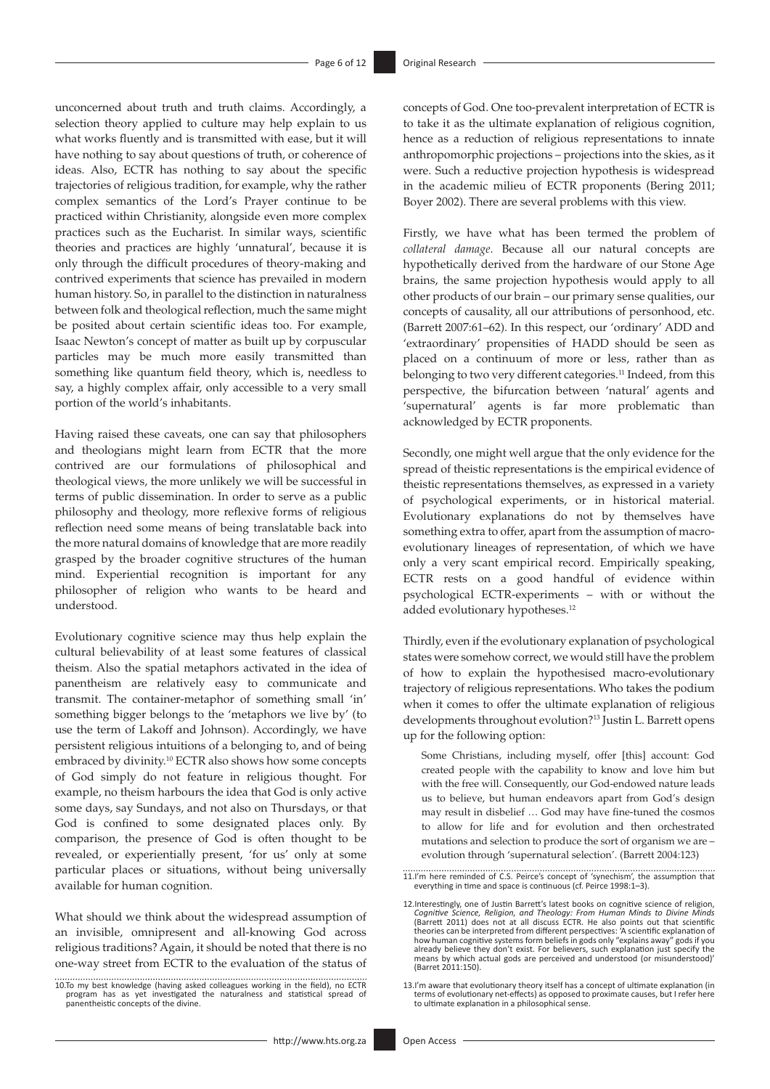unconcerned about truth and truth claims. Accordingly, a selection theory applied to culture may help explain to us what works fluently and is transmitted with ease, but it will have nothing to say about questions of truth, or coherence of ideas. Also, ECTR has nothing to say about the specific trajectories of religious tradition, for example, why the rather complex semantics of the Lord's Prayer continue to be practiced within Christianity, alongside even more complex practices such as the Eucharist. In similar ways, scientific theories and practices are highly 'unnatural', because it is only through the difficult procedures of theory-making and contrived experiments that science has prevailed in modern human history. So, in parallel to the distinction in naturalness between folk and theological reflection, much the same might be posited about certain scientific ideas too. For example, Isaac Newton's concept of matter as built up by corpuscular particles may be much more easily transmitted than something like quantum field theory, which is, needless to say, a highly complex affair, only accessible to a very small portion of the world's inhabitants.

Having raised these caveats, one can say that philosophers and theologians might learn from ECTR that the more contrived are our formulations of philosophical and theological views, the more unlikely we will be successful in terms of public dissemination. In order to serve as a public philosophy and theology, more reflexive forms of religious reflection need some means of being translatable back into the more natural domains of knowledge that are more readily grasped by the broader cognitive structures of the human mind. Experiential recognition is important for any philosopher of religion who wants to be heard and understood.

Evolutionary cognitive science may thus help explain the cultural believability of at least some features of classical theism. Also the spatial metaphors activated in the idea of panentheism are relatively easy to communicate and transmit. The container-metaphor of something small 'in' something bigger belongs to the 'metaphors we live by' (to use the term of Lakoff and Johnson). Accordingly, we have persistent religious intuitions of a belonging to, and of being embraced by divinity.10 ECTR also shows how some concepts of God simply do not feature in religious thought. For example, no theism harbours the idea that God is only active some days, say Sundays, and not also on Thursdays, or that God is confined to some designated places only. By comparison, the presence of God is often thought to be revealed, or experientially present, 'for us' only at some particular places or situations, without being universally available for human cognition.

What should we think about the widespread assumption of an invisible, omnipresent and all-knowing God across religious traditions? Again, it should be noted that there is no one-way street from ECTR to the evaluation of the status of concepts of God. One too-prevalent interpretation of ECTR is to take it as the ultimate explanation of religious cognition, hence as a reduction of religious representations to innate anthropomorphic projections – projections into the skies, as it were. Such a reductive projection hypothesis is widespread in the academic milieu of ECTR proponents (Bering 2011; Boyer 2002). There are several problems with this view.

Firstly, we have what has been termed the problem of *collateral damage*. Because all our natural concepts are hypothetically derived from the hardware of our Stone Age brains, the same projection hypothesis would apply to all other products of our brain – our primary sense qualities, our concepts of causality, all our attributions of personhood, etc. (Barrett 2007:61–62). In this respect, our 'ordinary' ADD and 'extraordinary' propensities of HADD should be seen as placed on a continuum of more or less, rather than as belonging to two very different categories.<sup>11</sup> Indeed, from this perspective, the bifurcation between 'natural' agents and 'supernatural' agents is far more problematic than acknowledged by ECTR proponents.

Secondly, one might well argue that the only evidence for the spread of theistic representations is the empirical evidence of theistic representations themselves, as expressed in a variety of psychological experiments, or in historical material. Evolutionary explanations do not by themselves have something extra to offer, apart from the assumption of macroevolutionary lineages of representation, of which we have only a very scant empirical record. Empirically speaking, ECTR rests on a good handful of evidence within psychological ECTR-experiments – with or without the added evolutionary hypotheses.12

Thirdly, even if the evolutionary explanation of psychological states were somehow correct, we would still have the problem of how to explain the hypothesised macro-evolutionary trajectory of religious representations. Who takes the podium when it comes to offer the ultimate explanation of religious developments throughout evolution?13 Justin L. Barrett opens up for the following option:

Some Christians, including myself, offer [this] account: God created people with the capability to know and love him but with the free will. Consequently, our God-endowed nature leads us to believe, but human endeavors apart from God's design may result in disbelief … God may have fine-tuned the cosmos to allow for life and for evolution and then orchestrated mutations and selection to produce the sort of organism we are – evolution through 'supernatural selection'. (Barrett 2004:123)

<sup>10.</sup>To my best knowledge (having asked colleagues working in the field), no ECTR program has as yet investigated the naturalness and statistical spread of panentheistic concepts of the divine.

<sup>11.</sup>I'm here reminded of C.S. Peirce's concept of 'synechism', the assumption that everything in time and space is continuous (cf. Peirce 1998:1–3).

<sup>12.</sup>Interestingly, one of Justin Barrett's latest books on cognitive science of religion, Cognitive Science, Religion, and Theology: From Human Minds to Divine Minds<br>(Barrett 2011) does not at all discuss ECTR. He also points out that scientific<br>theories can be interpreted from different perspectives: 'A scient how human cognitive systems form beliefs in gods only "explains away" gods if you<br>already believe they don't exist. For believers, such explanation just specify the<br>means by which actual gods are perceived and understood ( (Barret 2011:150).

<sup>13.</sup>I'm aware that evolutionary theory itself has a concept of ultimate explanation (in terms of evolutionary net-effects) as opposed to proximate causes, but I refer here to ultimate explanation in a philosophical sense.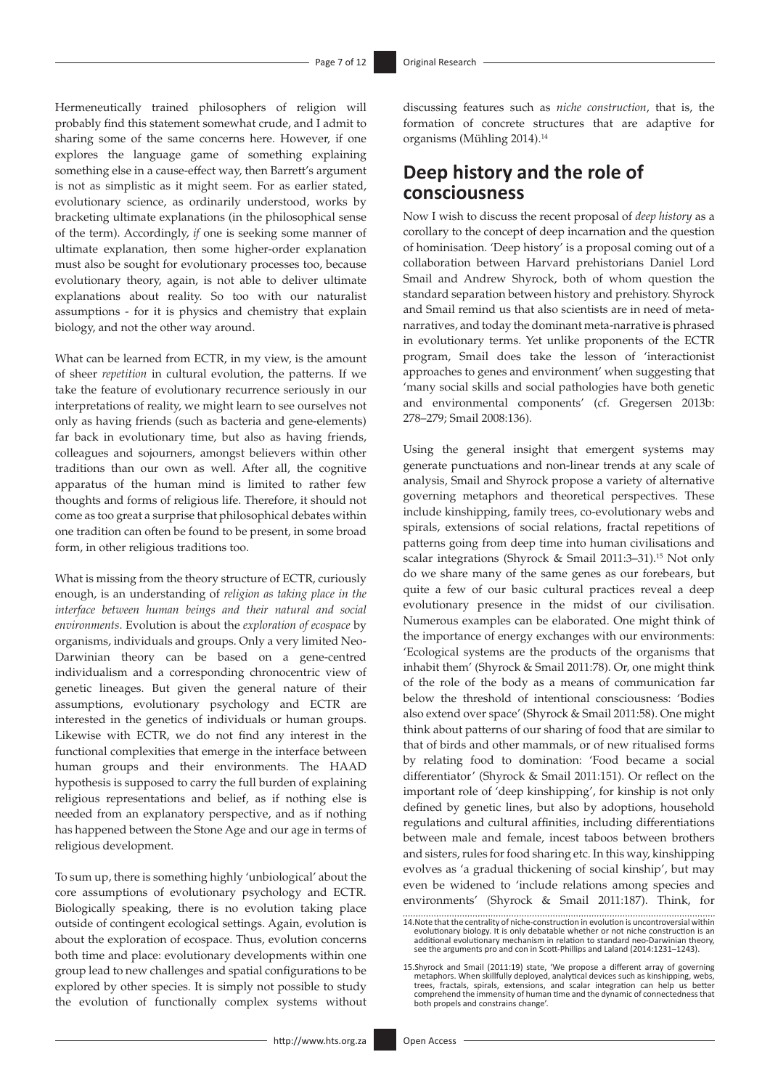Hermeneutically trained philosophers of religion will probably find this statement somewhat crude, and I admit to sharing some of the same concerns here. However, if one explores the language game of something explaining something else in a cause-effect way, then Barrett's argument is not as simplistic as it might seem. For as earlier stated, evolutionary science, as ordinarily understood, works by bracketing ultimate explanations (in the philosophical sense of the term). Accordingly, *if* one is seeking some manner of ultimate explanation, then some higher-order explanation must also be sought for evolutionary processes too, because evolutionary theory, again, is not able to deliver ultimate explanations about reality. So too with our naturalist assumptions - for it is physics and chemistry that explain biology, and not the other way around.

What can be learned from ECTR, in my view, is the amount of sheer *repetition* in cultural evolution, the patterns. If we take the feature of evolutionary recurrence seriously in our interpretations of reality, we might learn to see ourselves not only as having friends (such as bacteria and gene-elements) far back in evolutionary time, but also as having friends, colleagues and sojourners, amongst believers within other traditions than our own as well. After all, the cognitive apparatus of the human mind is limited to rather few thoughts and forms of religious life. Therefore, it should not come as too great a surprise that philosophical debates within one tradition can often be found to be present, in some broad form, in other religious traditions too.

What is missing from the theory structure of ECTR, curiously enough, is an understanding of *religion as taking place in the interface between human beings and their natural and social environments*. Evolution is about the *exploration of ecospace* by organisms, individuals and groups. Only a very limited Neo-Darwinian theory can be based on a gene-centred individualism and a corresponding chronocentric view of genetic lineages. But given the general nature of their assumptions, evolutionary psychology and ECTR are interested in the genetics of individuals or human groups. Likewise with ECTR, we do not find any interest in the functional complexities that emerge in the interface between human groups and their environments. The HAAD hypothesis is supposed to carry the full burden of explaining religious representations and belief, as if nothing else is needed from an explanatory perspective, and as if nothing has happened between the Stone Age and our age in terms of religious development.

To sum up, there is something highly 'unbiological' about the core assumptions of evolutionary psychology and ECTR. Biologically speaking, there is no evolution taking place outside of contingent ecological settings. Again, evolution is about the exploration of ecospace. Thus, evolution concerns both time and place: evolutionary developments within one group lead to new challenges and spatial configurations to be explored by other species. It is simply not possible to study the evolution of functionally complex systems without discussing features such as *niche construction*, that is, the formation of concrete structures that are adaptive for organisms (Mühling 2014).14

### **Deep history and the role of consciousness**

Now I wish to discuss the recent proposal of *deep history* as a corollary to the concept of deep incarnation and the question of hominisation. 'Deep history' is a proposal coming out of a collaboration between Harvard prehistorians Daniel Lord Smail and Andrew Shyrock, both of whom question the standard separation between history and prehistory. Shyrock and Smail remind us that also scientists are in need of metanarratives, and today the dominant meta-narrative is phrased in evolutionary terms. Yet unlike proponents of the ECTR program, Smail does take the lesson of 'interactionist approaches to genes and environment' when suggesting that 'many social skills and social pathologies have both genetic and environmental components' (cf. Gregersen 2013b: 278–279; Smail 2008:136).

Using the general insight that emergent systems may generate punctuations and non-linear trends at any scale of analysis, Smail and Shyrock propose a variety of alternative governing metaphors and theoretical perspectives. These include kinshipping, family trees, co-evolutionary webs and spirals, extensions of social relations, fractal repetitions of patterns going from deep time into human civilisations and scalar integrations (Shyrock & Smail 2011:3–31).15 Not only do we share many of the same genes as our forebears, but quite a few of our basic cultural practices reveal a deep evolutionary presence in the midst of our civilisation. Numerous examples can be elaborated. One might think of the importance of energy exchanges with our environments: 'Ecological systems are the products of the organisms that inhabit them' (Shyrock & Smail 2011:78). Or, one might think of the role of the body as a means of communication far below the threshold of intentional consciousness: 'Bodies also extend over space' (Shyrock & Smail 2011:58). One might think about patterns of our sharing of food that are similar to that of birds and other mammals, or of new ritualised forms by relating food to domination: 'Food became a social differentiator' (Shyrock & Smail 2011:151). Or reflect on the important role of 'deep kinshipping', for kinship is not only defined by genetic lines, but also by adoptions, household regulations and cultural affinities, including differentiations between male and female, incest taboos between brothers and sisters, rules for food sharing etc. In this way, kinshipping evolves as 'a gradual thickening of social kinship', but may even be widened to 'include relations among species and environments' (Shyrock & Smail 2011:187). Think, for

<sup>14.</sup>Note that the centrality of niche-construction in evolution is uncontroversial within evolutionary biology. It is only debatable whether or not niche construction is an additional evolutionary mechanism in relation to standard neo-Darwinian theory, see the arguments pro and con in Scott-Phillips and Laland (2014:1231–1243).

<sup>15.</sup>Shyrock and Smail (2011:19) state, 'We propose a different array of governing metaphors. When skillfully deployed, analytical devices such as kinshipping, webs, trees, fractals, spirals, extensions, and scalar integrati both propels and constrains change'.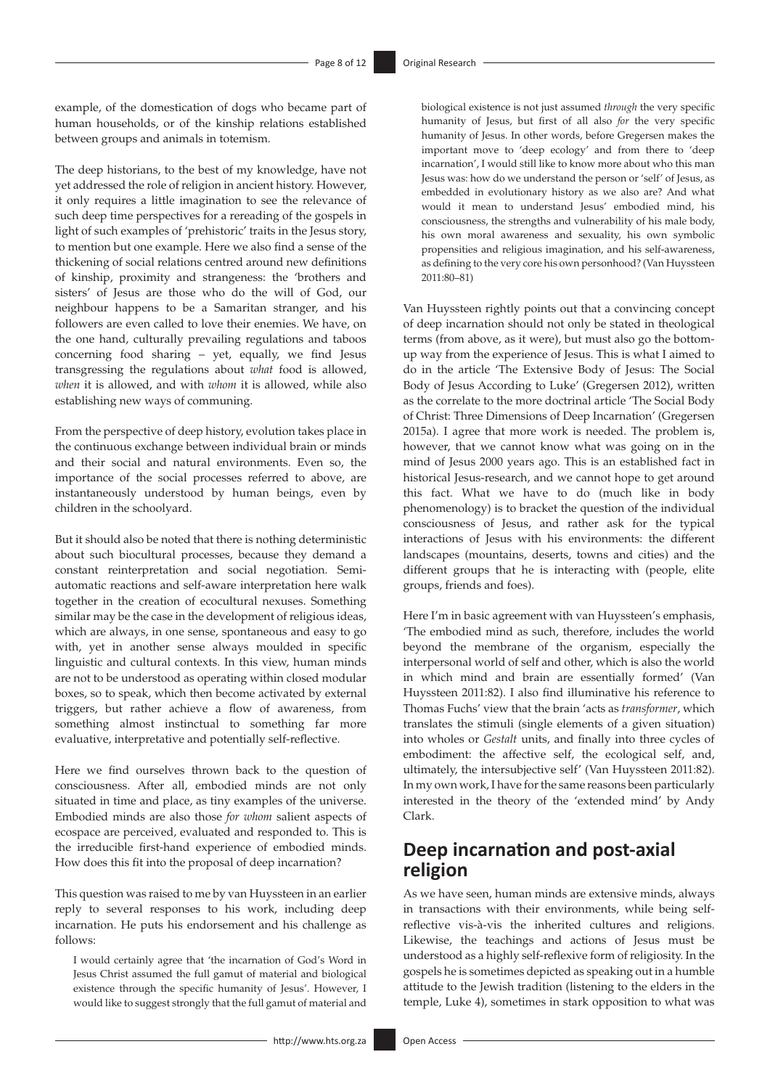example, of the domestication of dogs who became part of human households, or of the kinship relations established between groups and animals in totemism.

The deep historians, to the best of my knowledge, have not yet addressed the role of religion in ancient history. However, it only requires a little imagination to see the relevance of such deep time perspectives for a rereading of the gospels in light of such examples of 'prehistoric' traits in the Jesus story, to mention but one example. Here we also find a sense of the thickening of social relations centred around new definitions of kinship, proximity and strangeness: the 'brothers and sisters' of Jesus are those who do the will of God, our neighbour happens to be a Samaritan stranger, and his followers are even called to love their enemies. We have, on the one hand, culturally prevailing regulations and taboos concerning food sharing – yet, equally, we find Jesus transgressing the regulations about *what* food is allowed, *when* it is allowed, and with *whom* it is allowed, while also establishing new ways of communing.

From the perspective of deep history, evolution takes place in the continuous exchange between individual brain or minds and their social and natural environments. Even so, the importance of the social processes referred to above, are instantaneously understood by human beings, even by children in the schoolyard.

But it should also be noted that there is nothing deterministic about such biocultural processes, because they demand a constant reinterpretation and social negotiation. Semiautomatic reactions and self-aware interpretation here walk together in the creation of ecocultural nexuses. Something similar may be the case in the development of religious ideas, which are always, in one sense, spontaneous and easy to go with, yet in another sense always moulded in specific linguistic and cultural contexts. In this view, human minds are not to be understood as operating within closed modular boxes, so to speak, which then become activated by external triggers, but rather achieve a flow of awareness, from something almost instinctual to something far more evaluative, interpretative and potentially self-reflective.

Here we find ourselves thrown back to the question of consciousness. After all, embodied minds are not only situated in time and place, as tiny examples of the universe. Embodied minds are also those *for whom* salient aspects of ecospace are perceived, evaluated and responded to. This is the irreducible first-hand experience of embodied minds. How does this fit into the proposal of deep incarnation?

This question was raised to me by van Huyssteen in an earlier reply to several responses to his work, including deep incarnation. He puts his endorsement and his challenge as follows:

I would certainly agree that 'the incarnation of God's Word in Jesus Christ assumed the full gamut of material and biological existence through the specific humanity of Jesus'. However, I would like to suggest strongly that the full gamut of material and

biological existence is not just assumed *through* the very specific humanity of Jesus, but first of all also *for* the very specific humanity of Jesus. In other words, before Gregersen makes the important move to 'deep ecology' and from there to 'deep incarnation', I would still like to know more about who this man Jesus was: how do we understand the person or 'self' of Jesus, as embedded in evolutionary history as we also are? And what would it mean to understand Jesus' embodied mind, his consciousness, the strengths and vulnerability of his male body, his own moral awareness and sexuality, his own symbolic propensities and religious imagination, and his self-awareness, as defining to the very core his own personhood? (Van Huyssteen 2011:80–81)

Van Huyssteen rightly points out that a convincing concept of deep incarnation should not only be stated in theological terms (from above, as it were), but must also go the bottomup way from the experience of Jesus. This is what I aimed to do in the article 'The Extensive Body of Jesus: The Social Body of Jesus According to Luke' (Gregersen 2012), written as the correlate to the more doctrinal article 'The Social Body of Christ: Three Dimensions of Deep Incarnation' (Gregersen 2015a). I agree that more work is needed. The problem is, however, that we cannot know what was going on in the mind of Jesus 2000 years ago. This is an established fact in historical Jesus-research, and we cannot hope to get around this fact. What we have to do (much like in body phenomenology) is to bracket the question of the individual consciousness of Jesus, and rather ask for the typical interactions of Jesus with his environments: the different landscapes (mountains, deserts, towns and cities) and the different groups that he is interacting with (people, elite groups, friends and foes).

Here I'm in basic agreement with van Huyssteen's emphasis, 'The embodied mind as such, therefore, includes the world beyond the membrane of the organism, especially the interpersonal world of self and other, which is also the world in which mind and brain are essentially formed' (Van Huyssteen 2011:82). I also find illuminative his reference to Thomas Fuchs' view that the brain 'acts as *transformer*, which translates the stimuli (single elements of a given situation) into wholes or *Gestalt* units, and finally into three cycles of embodiment: the affective self, the ecological self, and, ultimately, the intersubjective self' (Van Huyssteen 2011:82). In my own work, I have for the same reasons been particularly interested in the theory of the 'extended mind' by Andy Clark.

# **Deep incarnation and post-axial religion**

As we have seen, human minds are extensive minds, always in transactions with their environments, while being selfreflective vis-à-vis the inherited cultures and religions. Likewise, the teachings and actions of Jesus must be understood as a highly self-reflexive form of religiosity. In the gospels he is sometimes depicted as speaking out in a humble attitude to the Jewish tradition (listening to the elders in the temple, Luke 4), sometimes in stark opposition to what was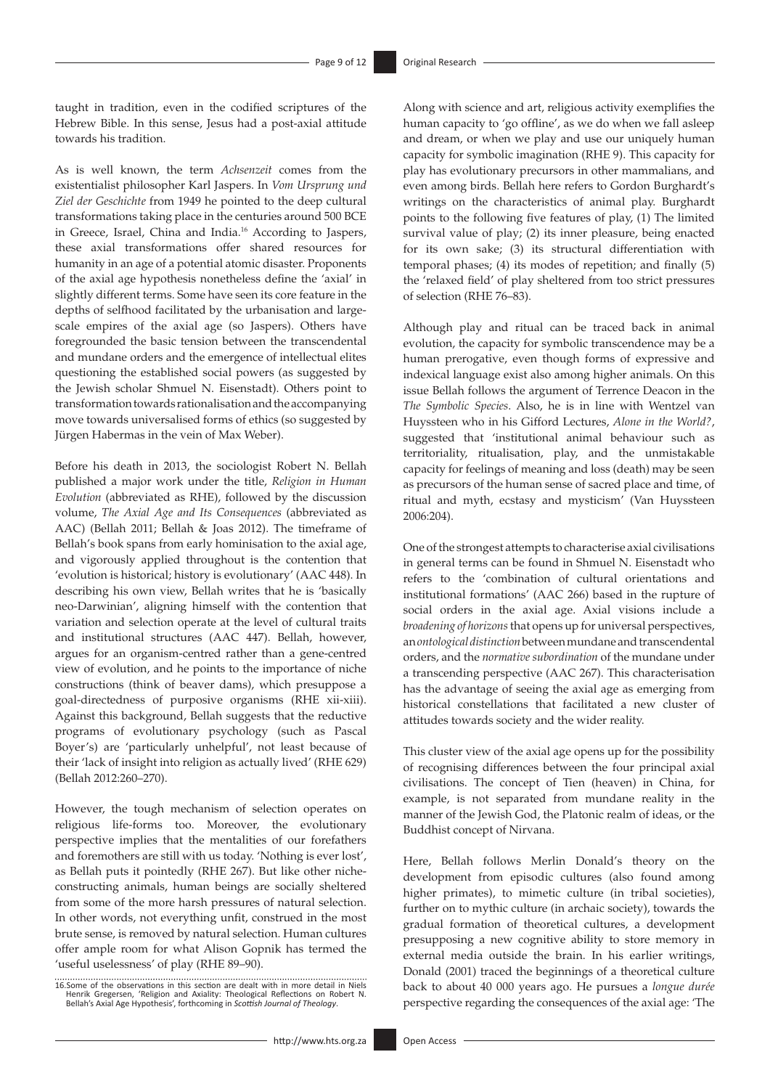taught in tradition, even in the codified scriptures of the Hebrew Bible. In this sense, Jesus had a post-axial attitude towards his tradition.

As is well known, the term *Achsenzeit* comes from the existentialist philosopher Karl Jaspers. In *Vom Ursprung und Ziel der Geschichte* from 1949 he pointed to the deep cultural transformations taking place in the centuries around 500 BCE in Greece, Israel, China and India.16 According to Jaspers, these axial transformations offer shared resources for humanity in an age of a potential atomic disaster. Proponents of the axial age hypothesis nonetheless define the 'axial' in slightly different terms. Some have seen its core feature in the depths of selfhood facilitated by the urbanisation and largescale empires of the axial age (so Jaspers). Others have foregrounded the basic tension between the transcendental and mundane orders and the emergence of intellectual elites questioning the established social powers (as suggested by the Jewish scholar Shmuel N. Eisenstadt). Others point to transformation towards rationalisation and the accompanying move towards universalised forms of ethics (so suggested by Jürgen Habermas in the vein of Max Weber).

Before his death in 2013, the sociologist Robert N. Bellah published a major work under the title, *Religion in Human Evolution* (abbreviated as RHE), followed by the discussion volume, *The Axial Age and Its Consequences* (abbreviated as AAC) (Bellah 2011; Bellah & Joas 2012). The timeframe of Bellah's book spans from early hominisation to the axial age, and vigorously applied throughout is the contention that 'evolution is historical; history is evolutionary' (AAC 448). In describing his own view, Bellah writes that he is 'basically neo-Darwinian', aligning himself with the contention that variation and selection operate at the level of cultural traits and institutional structures (AAC 447). Bellah, however, argues for an organism-centred rather than a gene-centred view of evolution, and he points to the importance of niche constructions (think of beaver dams), which presuppose a goal-directedness of purposive organisms (RHE xii-xiii). Against this background, Bellah suggests that the reductive programs of evolutionary psychology (such as Pascal Boyer's) are 'particularly unhelpful', not least because of their 'lack of insight into religion as actually lived' (RHE 629) (Bellah 2012:260–270).

However, the tough mechanism of selection operates on religious life-forms too. Moreover, the evolutionary perspective implies that the mentalities of our forefathers and foremothers are still with us today. 'Nothing is ever lost', as Bellah puts it pointedly (RHE 267). But like other nicheconstructing animals, human beings are socially sheltered from some of the more harsh pressures of natural selection. In other words, not everything unfit, construed in the most brute sense, is removed by natural selection. Human cultures offer ample room for what Alison Gopnik has termed the 'useful uselessness' of play (RHE 89–90).

Along with science and art, religious activity exemplifies the human capacity to 'go offline', as we do when we fall asleep and dream, or when we play and use our uniquely human capacity for symbolic imagination (RHE 9). This capacity for play has evolutionary precursors in other mammalians, and even among birds. Bellah here refers to Gordon Burghardt's writings on the characteristics of animal play. Burghardt points to the following five features of play, (1) The limited survival value of play; (2) its inner pleasure, being enacted for its own sake; (3) its structural differentiation with temporal phases; (4) its modes of repetition; and finally (5) the 'relaxed field' of play sheltered from too strict pressures of selection (RHE 76–83).

Although play and ritual can be traced back in animal evolution, the capacity for symbolic transcendence may be a human prerogative, even though forms of expressive and indexical language exist also among higher animals. On this issue Bellah follows the argument of Terrence Deacon in the *The Symbolic Species*. Also, he is in line with Wentzel van Huyssteen who in his Gifford Lectures, *Alone in the World?*, suggested that 'institutional animal behaviour such as territoriality, ritualisation, play, and the unmistakable capacity for feelings of meaning and loss (death) may be seen as precursors of the human sense of sacred place and time, of ritual and myth, ecstasy and mysticism' (Van Huyssteen 2006:204).

One of the strongest attempts to characterise axial civilisations in general terms can be found in Shmuel N. Eisenstadt who refers to the 'combination of cultural orientations and institutional formations' (AAC 266) based in the rupture of social orders in the axial age. Axial visions include a *broadening of horizons* that opens up for universal perspectives, an *ontological distinction* between mundane and transcendental orders, and the *normative subordination* of the mundane under a transcending perspective (AAC 267). This characterisation has the advantage of seeing the axial age as emerging from historical constellations that facilitated a new cluster of attitudes towards society and the wider reality.

This cluster view of the axial age opens up for the possibility of recognising differences between the four principal axial civilisations. The concept of Tien (heaven) in China, for example, is not separated from mundane reality in the manner of the Jewish God, the Platonic realm of ideas, or the Buddhist concept of Nirvana.

Here, Bellah follows Merlin Donald's theory on the development from episodic cultures (also found among higher primates), to mimetic culture (in tribal societies), further on to mythic culture (in archaic society), towards the gradual formation of theoretical cultures, a development presupposing a new cognitive ability to store memory in external media outside the brain. In his earlier writings, Donald (2001) traced the beginnings of a theoretical culture back to about 40 000 years ago. He pursues a *longue durée* perspective regarding the consequences of the axial age: 'The

<sup>16.</sup>Some of the observations in this section are dealt with in more detail in Niels Henrik Gregersen, 'Religion and Axiality: Theological Reflections on Robert N. Bellah's Axial Age Hypothesis', forthcoming in *Scottish Journal of Theology*.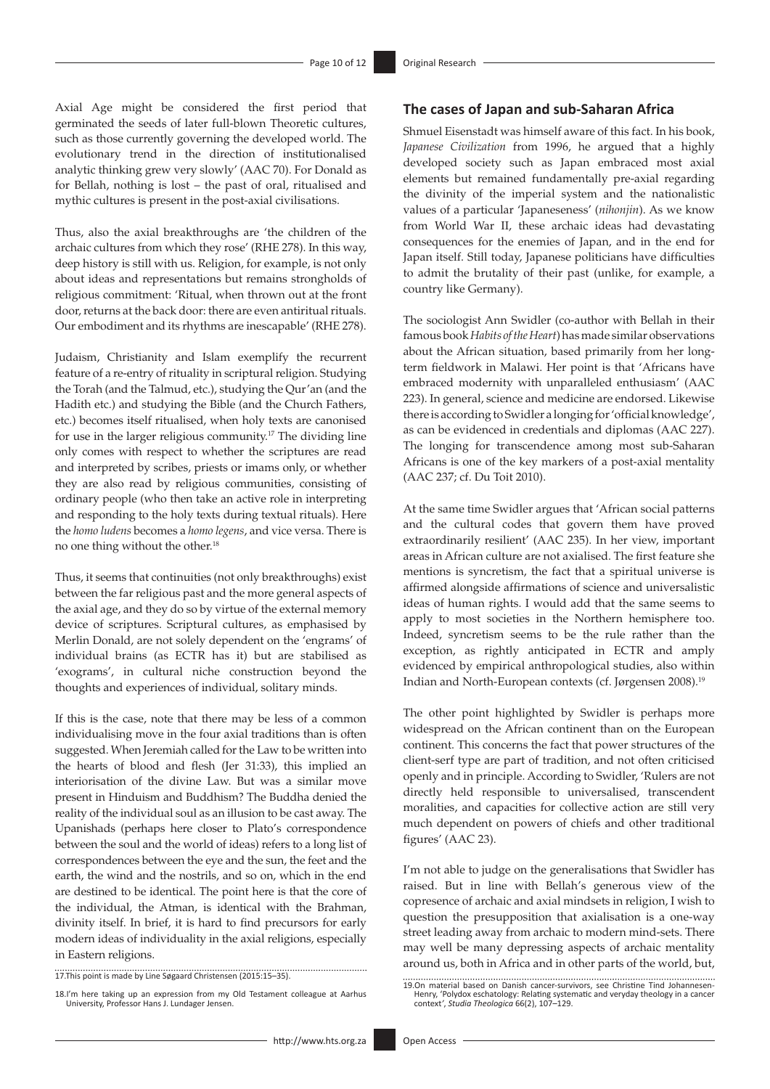Axial Age might be considered the first period that germinated the seeds of later full-blown Theoretic cultures, such as those currently governing the developed world. The evolutionary trend in the direction of institutionalised analytic thinking grew very slowly' (AAC 70). For Donald as for Bellah, nothing is lost – the past of oral, ritualised and mythic cultures is present in the post-axial civilisations.

Thus, also the axial breakthroughs are 'the children of the archaic cultures from which they rose' (RHE 278). In this way, deep history is still with us. Religion, for example, is not only about ideas and representations but remains strongholds of religious commitment: 'Ritual, when thrown out at the front door, returns at the back door: there are even antiritual rituals. Our embodiment and its rhythms are inescapable' (RHE 278).

Judaism, Christianity and Islam exemplify the recurrent feature of a re-entry of rituality in scriptural religion. Studying the Torah (and the Talmud, etc.), studying the Qur'an (and the Hadith etc.) and studying the Bible (and the Church Fathers, etc.) becomes itself ritualised, when holy texts are canonised for use in the larger religious community.17 The dividing line only comes with respect to whether the scriptures are read and interpreted by scribes, priests or imams only, or whether they are also read by religious communities, consisting of ordinary people (who then take an active role in interpreting and responding to the holy texts during textual rituals). Here the *homo ludens* becomes a *homo legens*, and vice versa. There is no one thing without the other.18

Thus, it seems that continuities (not only breakthroughs) exist between the far religious past and the more general aspects of the axial age, and they do so by virtue of the external memory device of scriptures. Scriptural cultures, as emphasised by Merlin Donald, are not solely dependent on the 'engrams' of individual brains (as ECTR has it) but are stabilised as 'exograms', in cultural niche construction beyond the thoughts and experiences of individual, solitary minds.

If this is the case, note that there may be less of a common individualising move in the four axial traditions than is often suggested. When Jeremiah called for the Law to be written into the hearts of blood and flesh (Jer 31:33), this implied an interiorisation of the divine Law. But was a similar move present in Hinduism and Buddhism? The Buddha denied the reality of the individual soul as an illusion to be cast away. The Upanishads (perhaps here closer to Plato's correspondence between the soul and the world of ideas) refers to a long list of correspondences between the eye and the sun, the feet and the earth, the wind and the nostrils, and so on, which in the end are destined to be identical. The point here is that the core of the individual, the Atman, is identical with the Brahman, divinity itself. In brief, it is hard to find precursors for early modern ideas of individuality in the axial religions, especially in Eastern religions.

17.This point is made by Line Søgaard Christensen (2015:15–35).

### **The cases of Japan and sub-Saharan Africa**

Shmuel Eisenstadt was himself aware of this fact. In his book, *Japanese Civilization* from 1996, he argued that a highly developed society such as Japan embraced most axial elements but remained fundamentally pre-axial regarding the divinity of the imperial system and the nationalistic values of a particular 'Japaneseness' (*nihonjin*). As we know from World War II, these archaic ideas had devastating consequences for the enemies of Japan, and in the end for Japan itself. Still today, Japanese politicians have difficulties to admit the brutality of their past (unlike, for example, a country like Germany).

The sociologist Ann Swidler (co-author with Bellah in their famous book *Habits of the Heart*) has made similar observations about the African situation, based primarily from her longterm fieldwork in Malawi. Her point is that 'Africans have embraced modernity with unparalleled enthusiasm' (AAC 223). In general, science and medicine are endorsed. Likewise there is according to Swidler a longing for 'official knowledge', as can be evidenced in credentials and diplomas (AAC 227). The longing for transcendence among most sub-Saharan Africans is one of the key markers of a post-axial mentality (AAC 237; cf. Du Toit 2010).

At the same time Swidler argues that 'African social patterns and the cultural codes that govern them have proved extraordinarily resilient' (AAC 235). In her view, important areas in African culture are not axialised. The first feature she mentions is syncretism, the fact that a spiritual universe is affirmed alongside affirmations of science and universalistic ideas of human rights. I would add that the same seems to apply to most societies in the Northern hemisphere too. Indeed, syncretism seems to be the rule rather than the exception, as rightly anticipated in ECTR and amply evidenced by empirical anthropological studies, also within Indian and North-European contexts (cf. Jørgensen 2008).19

The other point highlighted by Swidler is perhaps more widespread on the African continent than on the European continent. This concerns the fact that power structures of the client-serf type are part of tradition, and not often criticised openly and in principle. According to Swidler, 'Rulers are not directly held responsible to universalised, transcendent moralities, and capacities for collective action are still very much dependent on powers of chiefs and other traditional figures' (AAC 23).

I'm not able to judge on the generalisations that Swidler has raised. But in line with Bellah's generous view of the copresence of archaic and axial mindsets in religion, I wish to question the presupposition that axialisation is a one-way street leading away from archaic to modern mind-sets. There may well be many depressing aspects of archaic mentality around us, both in Africa and in other parts of the world, but,

<sup>18.</sup>I'm here taking up an expression from my Old Testament colleague at Aarhus University, Professor Hans J. Lundager Jensen.

<sup>19.</sup>On material based on Danish cancer-survivors, see Christine Tind Johannesen-Henry, 'Polydox eschatology: Relating systematic and veryday theology in a cancer context*'*, *Studia Theologica* 66(2), 107–129.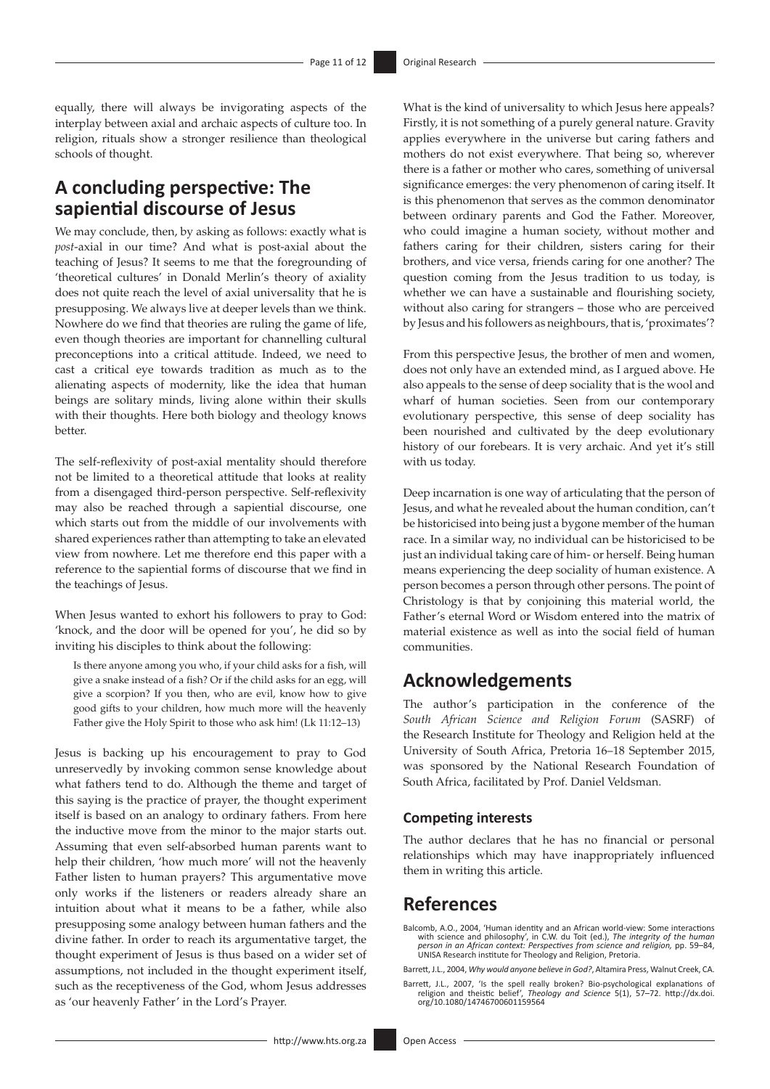equally, there will always be invigorating aspects of the interplay between axial and archaic aspects of culture too. In religion, rituals show a stronger resilience than theological schools of thought.

# **A concluding perspective: The sapiential discourse of Jesus**

We may conclude, then, by asking as follows: exactly what is *post*-axial in our time? And what is post-axial about the teaching of Jesus? It seems to me that the foregrounding of 'theoretical cultures' in Donald Merlin's theory of axiality does not quite reach the level of axial universality that he is presupposing. We always live at deeper levels than we think. Nowhere do we find that theories are ruling the game of life, even though theories are important for channelling cultural preconceptions into a critical attitude. Indeed, we need to cast a critical eye towards tradition as much as to the alienating aspects of modernity, like the idea that human beings are solitary minds, living alone within their skulls with their thoughts. Here both biology and theology knows better.

The self-reflexivity of post-axial mentality should therefore not be limited to a theoretical attitude that looks at reality from a disengaged third-person perspective. Self-reflexivity may also be reached through a sapiential discourse, one which starts out from the middle of our involvements with shared experiences rather than attempting to take an elevated view from nowhere. Let me therefore end this paper with a reference to the sapiential forms of discourse that we find in the teachings of Jesus.

When Jesus wanted to exhort his followers to pray to God: 'knock, and the door will be opened for you', he did so by inviting his disciples to think about the following:

Is there anyone among you who, if your child asks for a fish, will give a snake instead of a fish? Or if the child asks for an egg, will give a scorpion? If you then, who are evil, know how to give good gifts to your children, how much more will the heavenly Father give the Holy Spirit to those who ask him! (Lk 11:12–13)

Jesus is backing up his encouragement to pray to God unreservedly by invoking common sense knowledge about what fathers tend to do. Although the theme and target of this saying is the practice of prayer, the thought experiment itself is based on an analogy to ordinary fathers. From here the inductive move from the minor to the major starts out. Assuming that even self-absorbed human parents want to help their children, 'how much more' will not the heavenly Father listen to human prayers? This argumentative move only works if the listeners or readers already share an intuition about what it means to be a father, while also presupposing some analogy between human fathers and the divine father. In order to reach its argumentative target, the thought experiment of Jesus is thus based on a wider set of assumptions, not included in the thought experiment itself, such as the receptiveness of the God, whom Jesus addresses as 'our heavenly Father' in the Lord's Prayer.

What is the kind of universality to which Jesus here appeals? Firstly, it is not something of a purely general nature. Gravity applies everywhere in the universe but caring fathers and mothers do not exist everywhere. That being so, wherever there is a father or mother who cares, something of universal significance emerges: the very phenomenon of caring itself. It is this phenomenon that serves as the common denominator between ordinary parents and God the Father. Moreover, who could imagine a human society, without mother and fathers caring for their children, sisters caring for their brothers, and vice versa, friends caring for one another? The question coming from the Jesus tradition to us today, is whether we can have a sustainable and flourishing society, without also caring for strangers – those who are perceived by Jesus and his followers as neighbours, that is, 'proximates'?

From this perspective Jesus, the brother of men and women, does not only have an extended mind, as I argued above. He also appeals to the sense of deep sociality that is the wool and wharf of human societies. Seen from our contemporary evolutionary perspective, this sense of deep sociality has been nourished and cultivated by the deep evolutionary history of our forebears. It is very archaic. And yet it's still with us today.

Deep incarnation is one way of articulating that the person of Jesus, and what he revealed about the human condition, can't be historicised into being just a bygone member of the human race. In a similar way, no individual can be historicised to be just an individual taking care of him- or herself. Being human means experiencing the deep sociality of human existence. A person becomes a person through other persons. The point of Christology is that by conjoining this material world, the Father's eternal Word or Wisdom entered into the matrix of material existence as well as into the social field of human communities.

### **Acknowledgements**

The author's participation in the conference of the *South African Science and Religion Forum* (SASRF) of the Research Institute for Theology and Religion held at the University of South Africa, Pretoria 16–18 September 2015, was sponsored by the National Research Foundation of South Africa, facilitated by Prof. Daniel Veldsman.

#### **Competing interests**

The author declares that he has no financial or personal relationships which may have inappropriately influenced them in writing this article.

### **References**

Balcomb, A.O., 2004, 'Human identity and an African world-view: Some interactions<br>with science and philosophy', in C.W. du Toit (ed.), The integrity of the human<br>person in an African context: Perspectives from science and UNISA Research institute for Theology and Religion, Pretoria.

Barrett, J.L., 2004, *Why would anyone believe in God?*, Altamira Press, Walnut Creek, CA.

Barrett, J.L., 2007, 'Is the spell really broken? Bio-psychological explanations of religion and theistic belief', *Theology and Science* 5(1), 57–72. [http://dx.doi.](http://dx.doi.org/10.1080/14746700601159564) [org/10.1080/14746700601159564](http://dx.doi.org/10.1080/14746700601159564)